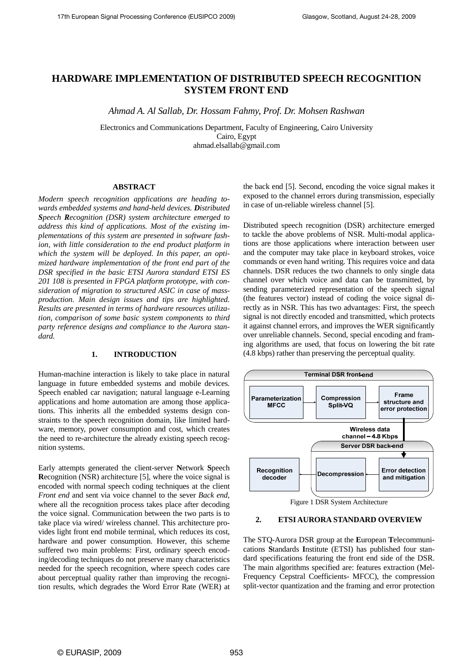# **HARDWARE IMPLEMENTATION OF DISTRIBUTED SPEECH RECOGNITION SYSTEM FRONT END**

*Ahmad A. Al Sallab, Dr. Hossam Fahmy, Prof. Dr. Mohsen Rashwan* 

Electronics and Communications Department, Faculty of Engineering, Cairo University Cairo, Egypt ahmad.elsallab@gmail.com

#### **ABSTRACT**

*Modern speech recognition applications are heading towards embedded systems and hand-held devices. Distributed Speech Recognition (DSR) system architecture emerged to address this kind of applications. Most of the existing implementations of this system are presented in software fashion, with little consideration to the end product platform in which the system will be deployed. In this paper, an optimized hardware implementation of the front end part of the DSR specified in the basic ETSI Aurora standard ETSI ES 201 108 is presented in FPGA platform prototype, with consideration of migration to structured ASIC in case of massproduction. Main design issues and tips are highlighted. Results are presented in terms of hardware resources utilization, comparison of some basic system components to third party reference designs and compliance to the Aurora standard.* 

#### **1. INTRODUCTION**

Human-machine interaction is likely to take place in natural language in future embedded systems and mobile devices. Speech enabled car navigation; natural language e-Learning applications and home automation are among those applications. This inherits all the embedded systems design constraints to the speech recognition domain, like limited hardware, memory, power consumption and cost, which creates the need to re-architecture the already existing speech recognition systems.

Early attempts generated the client-server **N**etwork **S**peech **R**ecognition (NSR) architecture [5], where the voice signal is encoded with normal speech coding techniques at the client *Front end* and sent via voice channel to the sever *Back end*, where all the recognition process takes place after decoding the voice signal. Communication between the two parts is to take place via wired/ wireless channel. This architecture provides light front end mobile terminal, which reduces its cost, hardware and power consumption. However, this scheme suffered two main problems: First, ordinary speech encoding/decoding techniques do not preserve many characteristics needed for the speech recognition, where speech codes care about perceptual quality rather than improving the recognition results, which degrades the Word Error Rate (WER) at the back end [5]. Second, encoding the voice signal makes it exposed to the channel errors during transmission, especially in case of un-reliable wireless channel [5].

Distributed speech recognition (DSR) architecture emerged to tackle the above problems of NSR. Multi-modal applications are those applications where interaction between user and the computer may take place in keyboard strokes, voice commands or even hand writing. This requires voice and data channels. DSR reduces the two channels to only single data channel over which voice and data can be transmitted, by sending parameterized representation of the speech signal (the features vector) instead of coding the voice signal directly as in NSR. This has two advantages: First, the speech signal is not directly encoded and transmitted, which protects it against channel errors, and improves the WER significantly over unreliable channels. Second, special encoding and framing algorithms are used, that focus on lowering the bit rate (4.8 kbps) rather than preserving the perceptual quality.



Figure 1 DSR System Architecture

# **2. ETSI AURORA STANDARD OVERVIEW**

The STQ-Aurora DSR group at the **E**uropean **T**elecommunications **S**tandards **I**nstitute (ETSI) has published four standard specifications featuring the front end side of the DSR. The main algorithms specified are: features extraction (Mel-Frequency Cepstral Coefficients- MFCC), the compression split-vector quantization and the framing and error protection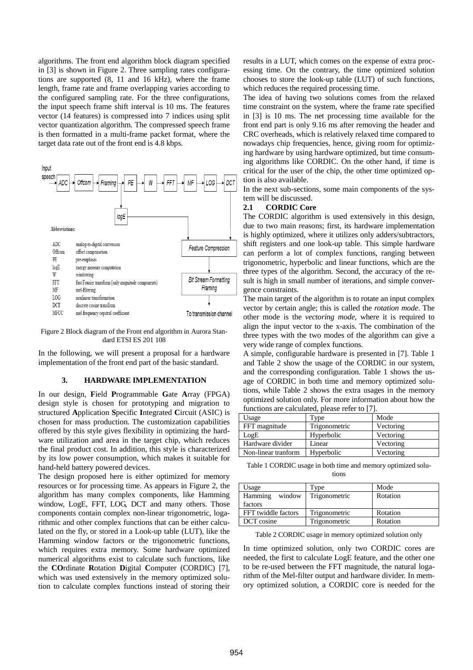algorithms. The front end algorithm block diagram specified in [3] is shown in Figure 2. Three sampling rates configurations are supported (8, 11 and 16 kHz), where the frame length, frame rate and frame overlapping varies according to the configured sampling rate. For the three configurations, the input speech frame shift interval is 10 ms. The features vector (14 features) is compressed into 7 indices using split vector quantization algorithm. The compressed speech frame is then formatted in a multi-frame packet format, where the target data rate out of the front end is 4.8 kbps.



Figure 2 Block diagram of the Front end algorithm in Aurora Standard ETSI ES 201 108

In the following, we will present a proposal for a hardware implementation of the front end part of the basic standard.

## **3. HARDWARE IMPLEMENTATION**

In our design, **F**ield **P**rogrammable **G**ate **A**rray (FPGA) design style is chosen for prototyping and migration to structured **A**pplication **S**pecific **I**ntegrated **C**ircuit (ASIC) is chosen for mass production. The customization capabilities offered by this style gives flexibility in optimizing the hardware utilization and area in the target chip, which reduces the final product cost. In addition, this style is characterized by its low power consumption, which makes it suitable for hand-held battery powered devices.

The design proposed here is either optimized for memory resources or for processing time. As appears in Figure 2, the algorithm has many complex components, like Hamming window, LogE, FFT, LOG, DCT and many others. Those components contain complex non-linear trigonometric, logarithmic and other complex functions that can be either calculated on the fly, or stored in a Look-up table (LUT), like the Hamming window factors or the trigonometric functions, which requires extra memory. Some hardware optimized numerical algorithms exist to calculate such functions, like the **CO**rdinate **R**otation **D**igital **C**omputer (CORDIC) [7], which was used extensively in the memory optimized solution to calculate complex functions instead of storing their results in a LUT, which comes on the expense of extra processing time. On the contrary, the time optimized solution chooses to store the look-up table (LUT) of such functions, which reduces the required processing time.

The idea of having two solutions comes from the relaxed time constraint on the system, where the frame rate specified in [3] is 10 ms. The net processing time available for the front end part is only 9.16 ms after removing the header and CRC overheads, which is relatively relaxed time compared to nowadays chip frequencies, hence, giving room for optimizing hardware by using hardware optimized, but time consuming algorithms like CORDIC. On the other hand, if time is critical for the user of the chip, the other time optimized option is also available.

In the next sub-sections, some main components of the system will be discussed.

## **2.1 CORDIC Core**

The CORDIC algorithm is used extensively in this design, due to two main reasons; first, its hardware implementation is highly optimized, where it utilizes only adders/subtractors, shift registers and one look-up table. This simple hardware can perform a lot of complex functions, ranging between trigonometric, hyperbolic and linear functions, which are the three types of the algorithm. Second, the accuracy of the result is high in small number of iterations, and simple convergence constraints.

The main target of the algorithm is to rotate an input complex vector by certain angle; this is called the *rotation mode*. The other mode is the *vectoring mode*, where it is required to align the input vector to the x-axis. The combination of the three types with the two modes of the algorithm can give a very wide range of complex functions.

A simple, configurable hardware is presented in [7]. Table 1 and Table 2 show the usage of the CORDIC in our system, and the corresponding configuration. Table 1 shows the usage of CORDIC in both time and memory optimized solutions, while Table 2 shows the extra usages in the memory optimized solution only. For more information about how the functions are calculated, please refer to [7].

| ranchons are cancamical prease refer to 17 p |               |           |  |
|----------------------------------------------|---------------|-----------|--|
| Usage                                        | Type          | Mode      |  |
| FFT magnitude                                | Trigonometric | Vectoring |  |
| LogE                                         | Hyperbolic    | Vectoring |  |
| Hardware divider                             | Linear        | Vectoring |  |
| Non-linear tranform                          | Hyperbolic    | Vectoring |  |

Table 1 CORDIC usage in both time and memory optimized solutions

| Usage                        | Type          | Mode     |
|------------------------------|---------------|----------|
| Hamming<br>window<br>factors | Trigonometric | Rotation |
| FFT twiddle factors          | Trigonometric | Rotation |
| DCT cosine                   | Trigonometric | Rotation |

Table 2 CORDIC usage in memory optimized solution only

In time optimized solution, only two CORDIC cores are needed, the first to calculate LogE feature, and the other one to be re-used between the FFT magnitude, the natural logarithm of the Mel-filter output and hardware divider. In memory optimized solution, a CORDIC core is needed for the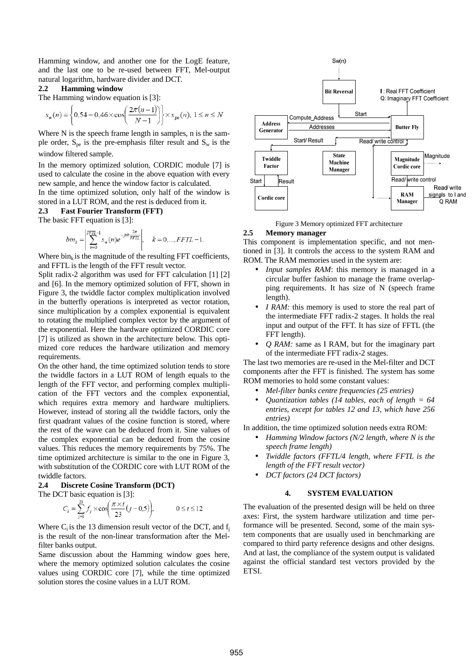Hamming window, and another one for the LogE feature, and the last one to be re-used between FFT, Mel-output natural logarithm, hardware divider and DCT.

#### **2.2 Hamming window**

The Hamming window equation is [3]:

$$
s_w(n) = \left\{ 0.54 - 0.46 \times \cos\left(\frac{2\pi(n-1)}{N-1}\right) \right\} \times s_{pe}(n), \ 1 \le n \le N
$$

Where N is the speech frame length in samples, n is the sample order,  $S_{pe}$  is the pre-emphasis filter result and  $S_w$  is the window filtered sample.

In the memory optimized solution, CORDIC module [7] is used to calculate the cosine in the above equation with every new sample, and hence the window factor is calculated.

In the time optimized solution, only half of the window is stored in a LUT ROM, and the rest is deduced from it.

**2.3 Fast Fourier Transform (FFT)**

The basic FFT equation is [3]:

$$
bin_{k} = \left| \sum_{n=0}^{FFTL-1} s_{w}(n) e^{-jnk \frac{2\pi}{FFTL}} \right|, \quad k = 0, ..., FFTL-1.
$$

Where  $\text{bin}_{k}$  is the magnitude of the resulting FFT coefficients, and FFTL is the length of the FFT result vector.

Split radix-2 algorithm was used for FFT calculation [1] [2] and [6]. In the memory optimized solution of FFT, shown in Figure 3, the twiddle factor complex multiplication involved in the butterfly operations is interpreted as vector rotation, since multiplication by a complex exponential is equivalent to rotating the multiplied complex vector by the argument of the exponential. Here the hardware optimized CORDIC core [7] is utilized as shown in the architecture below. This optimized core reduces the hardware utilization and memory requirements.

On the other hand, the time optimized solution tends to store the twiddle factors in a LUT ROM of length equals to the length of the FFT vector, and performing complex multiplication of the FFT vectors and the complex exponential, which requires extra memory and hardware multipliers. However, instead of storing all the twiddle factors, only the first quadrant values of the cosine function is stored, where the rest of the wave can be deduced from it. Sine values of the complex exponential can be deduced from the cosine values. This reduces the memory requirements by 75%. The time optimized architecture is similar to the one in Figure 3, with substitution of the CORDIC core with LUT ROM of the twiddle factors.

# **2.4 Discrete Cosine Transform (DCT)**

The DCT basic equation is [3]:

$$
C_i = \sum_{j=1}^{23} f_j \times \cos\left(\frac{\pi \times i}{23} (j - 0.5)\right), \quad 0 \le i \le 12
$$

Where  $C_i$  is the 13 dimension result vector of the DCT, and  $f_i$ is the result of the non-linear transformation after the Melfilter banks output.

Same discussion about the Hamming window goes here, where the memory optimized solution calculates the cosine values using CORDIC core [7], while the time optimized solution stores the cosine values in a LUT ROM.



Figure 3 Memory optimized FFT architecture

## **2.5 Memory manager**

This component is implementation specific, and not mentioned in [3]. It controls the access to the system RAM and ROM. The RAM memories used in the system are:

- *Input samples RAM*: this memory is managed in a circular buffer fashion to manage the frame overlapping requirements. It has size of N (speech frame length).
- *I RAM:* this memory is used to store the real part of the intermediate FFT radix-2 stages. It holds the real input and output of the FFT. It has size of FFTL (the FFT length).
- *Q RAM:* same as I RAM, but for the imaginary part of the intermediate FFT radix-2 stages.

The last two memories are re-used in the Mel-filter and DCT components after the FFT is finished. The system has some ROM memories to hold some constant values:

- *Mel-filter banks centre frequencies (25 entries)*
- *Quantization tables (14 tables, each of length = 64 entries, except for tables 12 and 13, which have 256 entries)*

In addition, the time optimized solution needs extra ROM:

- *Hamming Window factors (N/2 length, where N is the speech frame length)*
- *Twiddle factors (FFTL/4 length, where FFTL is the length of the FFT result vector)*
- *DCT factors (24 DCT factors)*

#### **4. SYSTEM EVALUATION**

The evaluation of the presented design will be held on three axes: First, the system hardware utilization and time performance will be presented. Second, some of the main system components that are usually used in benchmarking are compared to third party reference designs and other designs. And at last, the compliance of the system output is validated against the official standard test vectors provided by the ETSI.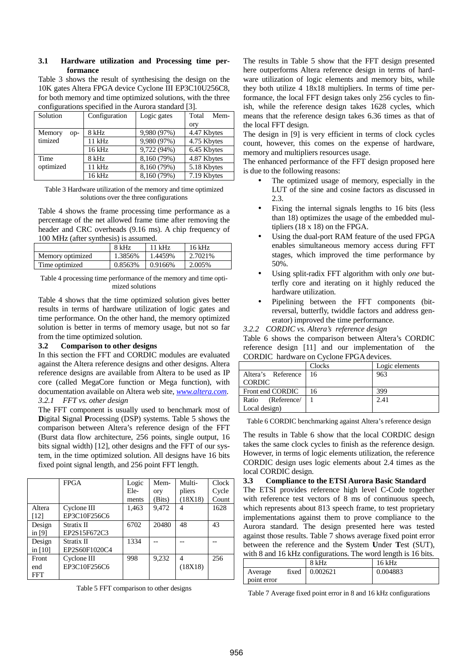## **3.1 Hardware utilization and Processing time performance**

Table 3 shows the result of synthesising the design on the 10K gates Altera FPGA device Cyclone III EP3C10U256C8, for both memory and time optimized solutions, with the three configurations specified in the Aurora standard [3].

| Solution      | Configuration | Logic gates | Total<br>Mem- |
|---------------|---------------|-------------|---------------|
|               |               |             | ory           |
| Memory<br>op- | 8 kHz         | 9,980 (97%) | 4.47 Kbytes   |
| timized       | 11 kHz        | 9,980 (97%) | 4.75 Kbytes   |
|               | 16 kHz        | 9,722 (94%) | 6.45 Kbytes   |
| Time          | 8 kHz         | 8,160 (79%) | 4.87 Kbytes   |
| optimized     | 11 kHz        | 8,160 (79%) | 5.18 Kbytes   |
|               | 16 kHz        | 8,160 (79%) | 7.19 Kbytes   |

Table 3 Hardware utilization of the memory and time optimized solutions over the three configurations

Table 4 shows the frame processing time performance as a percentage of the net allowed frame time after removing the header and CRC overheads (9.16 ms). A chip frequency of 100 MHz (after synthesis) is assumed.

|                  | 8 kHz   | $11$ kHz | $16$ kHz |
|------------------|---------|----------|----------|
| Memory optimized | 1.3856% | 1.4459%  | 2.7021\% |
| Time optimized   | 0.8563% | 0.9166%  | 2.005%   |

Table 4 processing time performance of the memory and time optimized solutions

Table 4 shows that the time optimized solution gives better results in terms of hardware utilization of logic gates and time performance. On the other hand, the memory optimized solution is better in terms of memory usage, but not so far from the time optimized solution.

# **3.2 Comparison to other designs**

In this section the FFT and CORDIC modules are evaluated against the Altera reference designs and other designs. Altera reference designs are available from Altera to be used as IP core (called MegaCore function or Mega function), with documentation available on Altera web site, *www.altera.com*. *3.2.1 FFT vs. other design*

The FFT component is usually used to benchmark most of **D**igital **S**ignal **P**rocessing (DSP) systems. Table 5 shows the comparison between Altera's reference design of the FFT (Burst data flow architecture, 256 points, single output, 16 bits signal width) [12], other designs and the FFT of our system, in the time optimized solution. All designs have 16 bits fixed point signal length, and 256 point FFT length.

|            | <b>FPGA</b>   | Logic | Mem-   | Multi-         | Clock |
|------------|---------------|-------|--------|----------------|-------|
|            |               | Ele-  | ory    | pliers         | Cycle |
|            |               | ments | (Bits) | (18X18)        | Count |
| Altera     | Cyclone III   | 1,463 | 9,472  | 4              | 1628  |
| [12]       | EP3C10F256C6  |       |        |                |       |
| Design     | Stratix II    | 6702  | 20480  | 48             | 43    |
| in $[9]$   | EP2S15F672C3  |       |        |                |       |
| Design     | Stratix II    | 1334  |        |                |       |
| in [10]    | EP2S60F1020C4 |       |        |                |       |
| Front      | Cyclone III   | 998   | 9,232  | $\overline{4}$ | 256   |
| end        | EP3C10F256C6  |       |        | (18X18)        |       |
| <b>FFT</b> |               |       |        |                |       |

Table 5 FFT comparison to other designs

The results in Table 5 show that the FFT design presented here outperforms Altera reference design in terms of hardware utilization of logic elements and memory bits, while they both utilize 4 18x18 multipliers. In terms of time performance, the local FFT design takes only 256 cycles to finish, while the reference design takes 1628 cycles, which means that the reference design takes 6.36 times as that of the local FFT design.

The design in [9] is very efficient in terms of clock cycles count, however, this comes on the expense of hardware, memory and multipliers resources usage.

The enhanced performance of the FFT design proposed here is due to the following reasons:

- The optimized usage of memory, especially in the LUT of the sine and cosine factors as discussed in 2.3.
- Fixing the internal signals lengths to 16 bits (less than 18) optimizes the usage of the embedded multipliers (18 x 18) on the FPGA.
- Using the dual-port RAM feature of the used FPGA enables simultaneous memory access during FFT stages, which improved the time performance by 50%.
- Using split-radix FFT algorithm with only *one* butterfly core and iterating on it highly reduced the hardware utilization.
- Pipelining between the FFT components (bitreversal, butterfly, twiddle factors and address generator) improved the time performance.

*3.2.2 CORDIC vs. Altera's reference design* 

Table 6 shows the comparison between Altera's CORDIC reference design [11] and our implementation of the CORDIC hardware on Cyclone FPGA devices.

| . <del></del>           |        |                |  |
|-------------------------|--------|----------------|--|
|                         | Clocks | Logic elements |  |
| Altera's Reference   16 |        | 963            |  |
| <b>CORDIC</b>           |        |                |  |
| Front end CORDIC        | 16     | 399            |  |
| Ratio (Reference/       |        | 2.41           |  |
| Local design)           |        |                |  |

Table 6 CORDIC benchmarking against Altera's reference design

The results in Table 6 show that the local CORDIC design takes the same clock cycles to finish as the reference design. However, in terms of logic elements utilization, the reference CORDIC design uses logic elements about 2.4 times as the local CORDIC design.

## **3.3 Compliance to the ETSI Aurora Basic Standard**

The ETSI provides reference high level C-Code together with reference test vectors of 8 ms of continuous speech, which represents about 813 speech frame, to test proprietary implementations against them to prove compliance to the Aurora standard. The design presented here was tested against those results. Table 7 shows average fixed point error between the reference and the **S**ystem **U**nder **T**est (SUT), with 8 and 16 kHz configurations. The word length is 16 bits.

|             |       | 8 kHz    | $16$ kHz |
|-------------|-------|----------|----------|
| Average     | fixed | 0.002621 | 0.004883 |
| point error |       |          |          |

Table 7 Average fixed point error in 8 and 16 kHz configurations